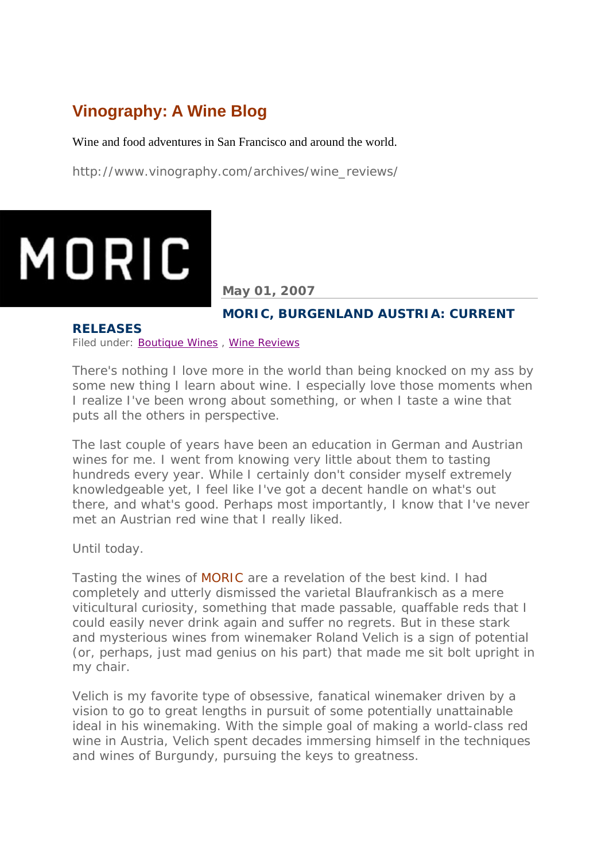# **Vinography: A Wine Blog**

Wine and food adventures in San Francisco and around the world.

http://www.vinography.com/archives/wine\_reviews/

# MORIC

**May 01, 2007** 

# **MORIC, BURGENLAND AUSTRIA: CURRENT**

#### **RELEASES**

Filed under: Boutique Wines , Wine Reviews

There's nothing I love more in the world than being knocked on my ass by some new thing I learn about wine. I especially love those moments when I realize I've been wrong about something, or when I taste a wine that puts all the others in perspective.

The last couple of years have been an education in German and Austrian wines for me. I went from knowing very little about them to tasting hundreds every year. While I certainly don't consider myself extremely knowledgeable yet, I feel like I've got a decent handle on what's out there, and what's good. Perhaps most importantly, I know that I've never met an Austrian red wine that I really liked.

Until today.

Tasting the wines of MORIC are a revelation of the best kind. I had completely and utterly dismissed the varietal Blaufrankisch as a mere viticultural curiosity, something that made passable, quaffable reds that I could easily never drink again and suffer no regrets. But in these stark and mysterious wines from winemaker Roland Velich is a sign of potential (or, perhaps, just mad genius on his part) that made me sit bolt upright in my chair.

Velich is my favorite type of obsessive, fanatical winemaker driven by a vision to go to great lengths in pursuit of some potentially unattainable ideal in his winemaking. With the simple goal of making a world-class red wine in Austria, Velich spent decades immersing himself in the techniques and wines of Burgundy, pursuing the keys to greatness.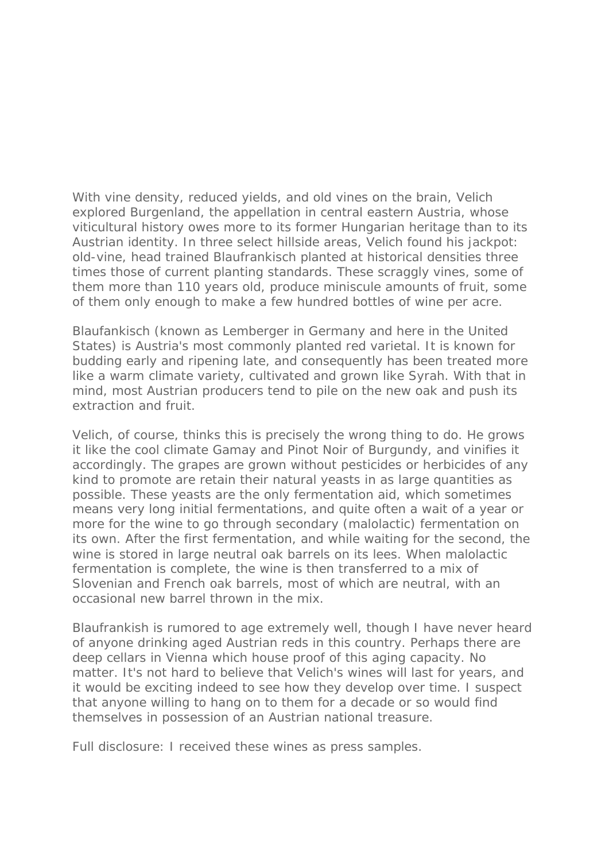With vine density, reduced yields, and old vines on the brain, Velich explored Burgenland, the appellation in central eastern Austria, whose viticultural history owes more to its former Hungarian heritage than to its Austrian identity. In three select hillside areas, Velich found his jackpot: old-vine, head trained Blaufrankisch planted at historical densities three times those of current planting standards. These scraggly vines, some of them more than 110 years old, produce miniscule amounts of fruit, some of them only enough to make a few hundred bottles of wine per acre.

Blaufankisch (known as Lemberger in Germany and here in the United States) is Austria's most commonly planted red varietal. It is known for budding early and ripening late, and consequently has been treated more like a warm climate variety, cultivated and grown like Syrah. With that in mind, most Austrian producers tend to pile on the new oak and push its extraction and fruit.

Velich, of course, thinks this is precisely the wrong thing to do. He grows it like the cool climate Gamay and Pinot Noir of Burgundy, and vinifies it accordingly. The grapes are grown without pesticides or herbicides of any kind to promote are retain their natural yeasts in as large quantities as possible. These yeasts are the only fermentation aid, which sometimes means very long initial fermentations, and quite often a wait of a year or more for the wine to go through secondary (malolactic) fermentation on its own. After the first fermentation, and while waiting for the second, the wine is stored in large neutral oak barrels on its lees. When malolactic fermentation is complete, the wine is then transferred to a mix of Slovenian and French oak barrels, most of which are neutral, with an occasional new barrel thrown in the mix.

Blaufrankish is rumored to age extremely well, though I have never heard of anyone drinking aged Austrian reds in this country. Perhaps there are deep cellars in Vienna which house proof of this aging capacity. No matter. It's not hard to believe that Velich's wines will last for years, and it would be exciting indeed to see how they develop over time. I suspect that anyone willing to hang on to them for a decade or so would find themselves in possession of an Austrian national treasure.

*Full disclosure: I received these wines as press samples.*